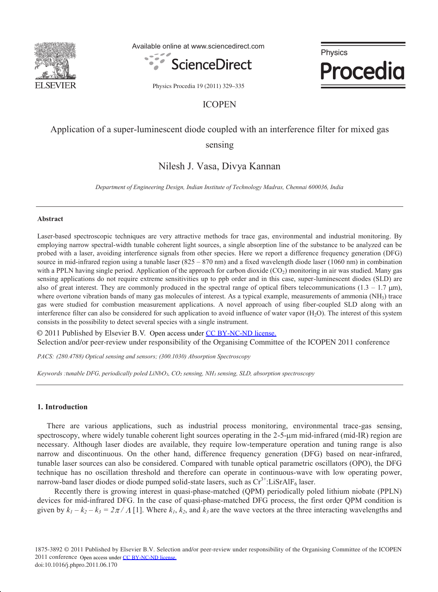

Available online at www.sciencedirect.com



Physics Procedia

Physics Procedia 19 (2011) 329–335

# ICOPEN

## Application of a super-luminescent diode coupled with an interference filter for mixed gas

## sensing

# Nilesh J. Vasa, Divya Kannan

*Department of Engineering Design, Indian Institute of Technology Madras, Chennai 600036, India* 

#### **Abstract**

Laser-based spectroscopic techniques are very attractive methods for trace gas, environmental and industrial monitoring. By employing narrow spectral-width tunable coherent light sources, a single absorption line of the substance to be analyzed can be probed with a laser, avoiding interference signals from other species. Here we report a difference frequency generation (DFG) source in mid-infrared region using a tunable laser (825 – 870 nm) and a fixed wavelength diode laser (1060 nm) in combination with a PPLN having single period. Application of the approach for carbon dioxide  $(CO<sub>2</sub>)$  monitoring in air was studied. Many gas sensing applications do not require extreme sensitivities up to ppb order and in this case, super-luminescent diodes (SLD) are also of great interest. They are commonly produced in the spectral range of optical fibers telecommunications  $(1.3 - 1.7 \mu m)$ , where overtone vibration bands of many gas molecules of interest. As a typical example, measurements of ammonia (NH<sub>3</sub>) trace gas were studied for combustion measurement applications. A novel approach of using fiber-coupled SLD along with an interference filter can also be considered for such application to avoid influence of water vapor (H2O). The interest of this system consists in the possibility to detect several species with a single instrument.

© 2011 Published by Elsevier B.V. Open access under [CC BY-NC-ND license.](http://creativecommons.org/licenses/by-nc-nd/3.0/)

Selection and/or peer-review under responsibility of the Organising Committee of the ICOPEN 2011 conference

*PACS: (280.4788) Optical sensing and sensors; (300.1030) Absorption Spectroscopy* 

*Keywords :tunable DFG, periodically poled LiNbO3, CO2 sensing, NH3 sensing, SLD, absorption spectroscopy* 

## **1. Introduction**

There are various applications, such as industrial process monitoring, environmental trace-gas sensing, spectroscopy, where widely tunable coherent light sources operating in the 2-5- $\mu$ m mid-infrared (mid-IR) region are necessary. Although laser diodes are available, they require low-temperature operation and tuning range is also narrow and discontinuous. On the other hand, difference frequency generation (DFG) based on near-infrared, tunable laser sources can also be considered. Compared with tunable optical parametric oscillators (OPO), the DFG technique has no oscillation threshold and therefore can operate in continuous-wave with low operating power, narrow-band laser diodes or diode pumped solid-state lasers, such as  $Cr^{3+}$ :LiSrAlF<sub>6</sub> laser.

 Recently there is growing interest in quasi-phase-matched (QPM) periodically poled lithium niobate (PPLN) devices for mid-infrared DFG. In the case of quasi-phase-matched DFG process, the first order QPM condition is given by  $k_1 - k_2 - k_3 = 2\pi / \Lambda$  [1]. Where  $k_1, k_2$ , and  $k_3$  are the wave vectors at the three interacting wavelengths and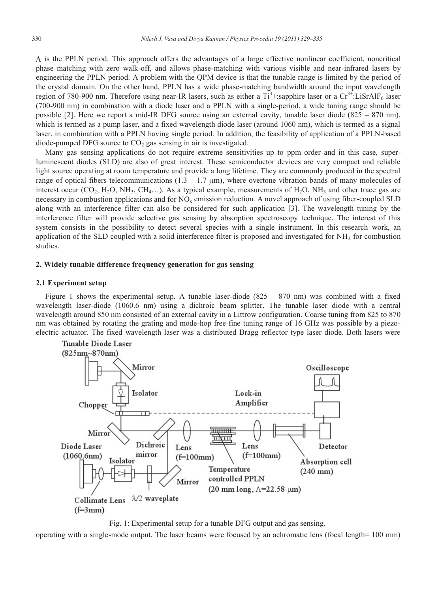$\Lambda$  is the PPLN period. This approach offers the advantages of a large effective nonlinear coefficient, noncritical phase matching with zero walk-off, and allows phase-matching with various visible and near-infrared lasers by engineering the PPLN period. A problem with the QPM device is that the tunable range is limited by the period of the crystal domain. On the other hand, PPLN has a wide phase-matching bandwidth around the input wavelength region of 780-900 nm. Therefore using near-IR lasers, such as either a  $Ti^3+$ :sapphire laser or a  $Cr^{3+}$ :LiSrAlF<sub>6</sub> laser (700-900 nm) in combination with a diode laser and a PPLN with a single-period, a wide tuning range should be possible [2]. Here we report a mid-IR DFG source using an external cavity, tunable laser diode (825 – 870 nm), which is termed as a pump laser, and a fixed wavelength diode laser (around 1060 nm), which is termed as a signal laser, in combination with a PPLN having single period. In addition, the feasibility of application of a PPLN-based diode-pumped DFG source to  $CO<sub>2</sub>$  gas sensing in air is investigated.

Many gas sensing applications do not require extreme sensitivities up to ppm order and in this case, superluminescent diodes (SLD) are also of great interest. These semiconductor devices are very compact and reliable light source operating at room temperature and provide a long lifetime. They are commonly produced in the spectral range of optical fibers telecommunications  $(1.3 - 1.7 \mu m)$ , where overtone vibration bands of many molecules of interest occur (CO<sub>2</sub>, H<sub>2</sub>O, NH<sub>3</sub>, CH<sub>4</sub>...). As a typical example, measurements of H<sub>2</sub>O, NH<sub>3</sub> and other trace gas are necessary in combustion applications and for  $NO<sub>x</sub>$  emission reduction. A novel approach of using fiber-coupled SLD along with an interference filter can also be considered for such application [3]. The wavelength tuning by the interference filter will provide selective gas sensing by absorption spectroscopy technique. The interest of this system consists in the possibility to detect several species with a single instrument. In this research work, an application of the SLD coupled with a solid interference filter is proposed and investigated for  $NH<sub>3</sub>$  for combustion studies.

## **2. Widely tunable difference frequency generation for gas sensing**

#### **2.1 Experiment setup**

Figure 1 shows the experimental setup. A tunable laser-diode (825 – 870 nm) was combined with a fixed wavelength laser-diode (1060.6 nm) using a dichroic beam splitter. The tunable laser diode with a central wavelength around 850 nm consisted of an external cavity in a Littrow configuration. Coarse tuning from 825 to 870 nm was obtained by rotating the grating and mode-hop free fine tuning range of 16 GHz was possible by a piezoelectric actuator. The fixed wavelength laser was a distributed Bragg reflector type laser diode. Both lasers were



Fig. 1: Experimental setup for a tunable DFG output and gas sensing.

operating with a single-mode output. The laser beams were focused by an achromatic lens (focal length= 100 mm)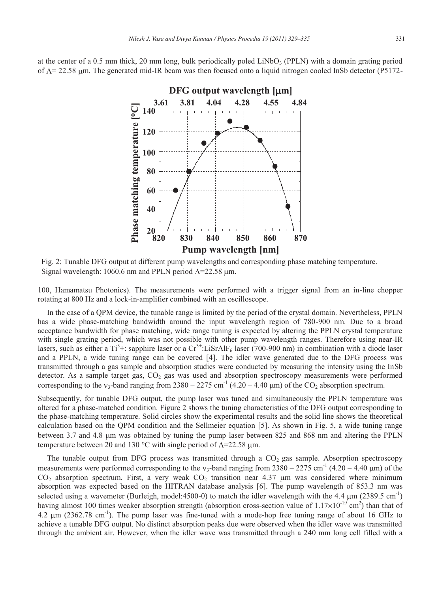at the center of a 0.5 mm thick, 20 mm long, bulk periodically poled LiNbO<sub>3</sub> (PPLN) with a domain grating period of  $\Lambda$  = 22.58 µm. The generated mid-IR beam was then focused onto a liquid nitrogen cooled InSb detector (P5172-



Fig. 2: Tunable DFG output at different pump wavelengths and corresponding phase matching temperature. Signal wavelength: 1060.6 nm and PPLN period  $\Lambda$ =22.58 µm.

100, Hamamatsu Photonics). The measurements were performed with a trigger signal from an in-line chopper rotating at 800 Hz and a lock-in-amplifier combined with an oscilloscope.

In the case of a QPM device, the tunable range is limited by the period of the crystal domain. Nevertheless, PPLN has a wide phase-matching bandwidth around the input wavelength region of 780-900 nm. Due to a broad acceptance bandwidth for phase matching, wide range tuning is expected by altering the PPLN crystal temperature with single grating period, which was not possible with other pump wavelength ranges. Therefore using near-IR lasers, such as either a Ti<sup>3</sup>+: sapphire laser or a Cr<sup>3+</sup>:LiSrAlF<sub>6</sub> laser (700-900 nm) in combination with a diode laser and a PPLN, a wide tuning range can be covered [4]. The idler wave generated due to the DFG process was transmitted through a gas sample and absorption studies were conducted by measuring the intensity using the InSb detector. As a sample target gas, CO<sub>2</sub> gas was used and absorption spectroscopy measurements were performed corresponding to the  $v_3$ -band ranging from 2380 – 2275 cm<sup>-1</sup> (4.20 – 4.40 µm) of the CO<sub>2</sub> absorption spectrum.

Subsequently, for tunable DFG output, the pump laser was tuned and simultaneously the PPLN temperature was altered for a phase-matched condition. Figure 2 shows the tuning characteristics of the DFG output corresponding to the phase-matching temperature. Solid circles show the experimental results and the solid line shows the theoretical calculation based on the QPM condition and the Sellmeier equation [5]. As shown in Fig. 5, a wide tuning range between 3.7 and 4.8 µm was obtained by tuning the pump laser between 825 and 868 nm and altering the PPLN temperature between 20 and 130 °C with single period of  $\Lambda$ =22.58 µm.

The tunable output from DFG process was transmitted through a  $CO<sub>2</sub>$  gas sample. Absorption spectroscopy measurements were performed corresponding to the  $v_3$ -band ranging from 2380 – 2275 cm<sup>-1</sup> (4.20 – 4.40 µm) of the  $CO<sub>2</sub>$  absorption spectrum. First, a very weak  $CO<sub>2</sub>$  transition near 4.37 µm was considered where minimum absorption was expected based on the HITRAN database analysis [6]. The pump wavelength of 853.3 nm was selected using a wavemeter (Burleigh, model:4500-0) to match the idler wavelength with the 4.4  $\mu$ m (2389.5 cm<sup>-1</sup>) having almost 100 times weaker absorption strength (absorption cross-section value of  $1.17 \times 10^{-19}$  cm<sup>2</sup>) than that of 4.2  $\mu$ m (2362.78 cm<sup>-1</sup>). The pump laser was fine-tuned with a mode-hop free tuning range of about 16 GHz to achieve a tunable DFG output. No distinct absorption peaks due were observed when the idler wave was transmitted through the ambient air. However, when the idler wave was transmitted through a 240 mm long cell filled with a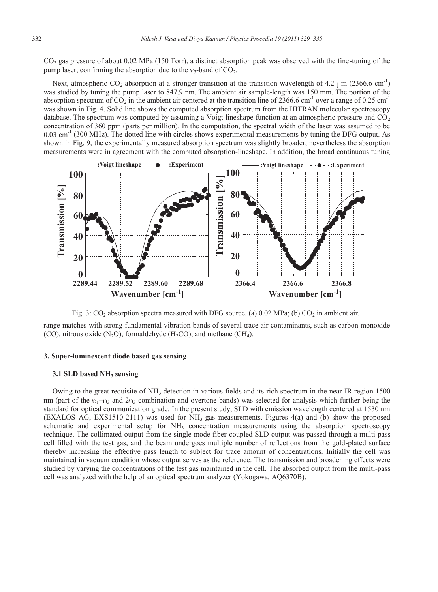$CO<sub>2</sub>$  gas pressure of about 0.02 MPa (150 Torr), a distinct absorption peak was observed with the fine-tuning of the pump laser, confirming the absorption due to the  $v_3$ -band of  $CO_2$ .

Next, atmospheric CO<sub>2</sub> absorption at a stronger transition at the transition wavelength of 4.2  $\mu$ m (2366.6 cm<sup>-1</sup>) was studied by tuning the pump laser to 847.9 nm. The ambient air sample-length was 150 mm. The portion of the absorption spectrum of CO<sub>2</sub> in the ambient air centered at the transition line of 2366.6 cm<sup>-1</sup> over a range of 0.25 cm<sup>-1</sup> was shown in Fig. 4. Solid line shows the computed absorption spectrum from the HITRAN molecular spectroscopy database. The spectrum was computed by assuming a Voigt lineshape function at an atmospheric pressure and  $CO<sub>2</sub>$ concentration of 360 ppm (parts per million). In the computation, the spectral width of the laser was assumed to be  $0.03$  cm<sup>-1</sup> (300 MHz). The dotted line with circles shows experimental measurements by tuning the DFG output. As shown in Fig. 9, the experimentally measured absorption spectrum was slightly broader; nevertheless the absorption measurements were in agreement with the computed absorption-lineshape. In addition, the broad continuous tuning



Fig. 3:  $CO_2$  absorption spectra measured with DFG source. (a) 0.02 MPa; (b)  $CO_2$  in ambient air.

range matches with strong fundamental vibration bands of several trace air contaminants, such as carbon monoxide (CO), nitrous oxide (N<sub>2</sub>O), formaldehyde (H<sub>2</sub>CO), and methane (CH<sub>4</sub>).

#### **3. Super-luminescent diode based gas sensing**

## 3.1 SLD based NH<sub>3</sub> sensing

Owing to the great requisite of NH3 detection in various fields and its rich spectrum in the near-IR region 1500 nm (part of the  $v_1 + v_3$  and  $2v_3$  combination and overtone bands) was selected for analysis which further being the standard for optical communication grade. In the present study, SLD with emission wavelength centered at 1530 nm (EXALOS AG, EXS1510-2111) was used for  $NH_3$  gas measurements. Figures 4(a) and (b) show the proposed schematic and experimental setup for  $NH<sub>3</sub>$  concentration measurements using the absorption spectroscopy technique. The collimated output from the single mode fiber-coupled SLD output was passed through a multi-pass cell filled with the test gas, and the beam undergoes multiple number of reflections from the gold-plated surface thereby increasing the effective pass length to subject for trace amount of concentrations. Initially the cell was maintained in vacuum condition whose output serves as the reference. The transmission and broadening effects were studied by varying the concentrations of the test gas maintained in the cell. The absorbed output from the multi-pass cell was analyzed with the help of an optical spectrum analyzer (Yokogawa, AQ6370B).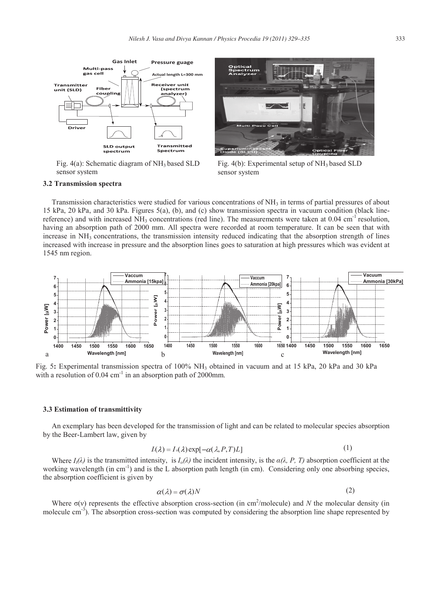

Fig. 4(a): Schematic diagram of NH<sub>3</sub> based SLD sensor system



Fig.  $4(b)$ : Experimental setup of NH<sub>3</sub> based SLD sensor system

#### **3.2 Transmission spectra**

Transmission characteristics were studied for various concentrations of NH3 in terms of partial pressures of about 15 kPa, 20 kPa, and 30 kPa. Figures 5(a), (b), and (c) show transmission spectra in vacuum condition (black linereference) and with increased  $NH_3$  concentrations (red line). The measurements were taken at 0.04 cm<sup>-1</sup> resolution, having an absorption path of 2000 mm. All spectra were recorded at room temperature. It can be seen that with increase in NH<sub>3</sub> concentrations, the transmission intensity reduced indicating that the absorption strength of lines increased with increase in pressure and the absorption lines goes to saturation at high pressures which was evident at 1545 nm region.



Fig. 5**:** Experimental transmission spectra of 100% NH3 obtained in vacuum and at 15 kPa, 20 kPa and 30 kPa with a resolution of  $0.04 \text{ cm}^{-1}$  in an absorption path of 2000mm.

### **3.3 Estimation of transmittivity**

An exemplary has been developed for the transmission of light and can be related to molecular species absorption by the Beer-Lambert law, given by

$$
I(\lambda) = I_0(\lambda) \exp[-\alpha(\lambda, P, T)L]
$$
 (1)

Where  $I_i(\lambda)$  is the transmitted intensity, is  $I_o(\lambda)$  the incident intensity, is the  $\alpha(\lambda, P, T)$  absorption coefficient at the working wavelength (in cm<sup>-1</sup>) and is the L absorption path length (in cm). Considering only one absorbing species, the absorption coefficient is given by

$$
\alpha(\lambda) = \sigma(\lambda)N\tag{2}
$$

Where  $\sigma(v)$  represents the effective absorption cross-section (in cm<sup>2</sup>/molecule) and *N* the molecular density (in molecule cm<sup>-3</sup>). The absorption cross-section was computed by considering the absorption line shape represented by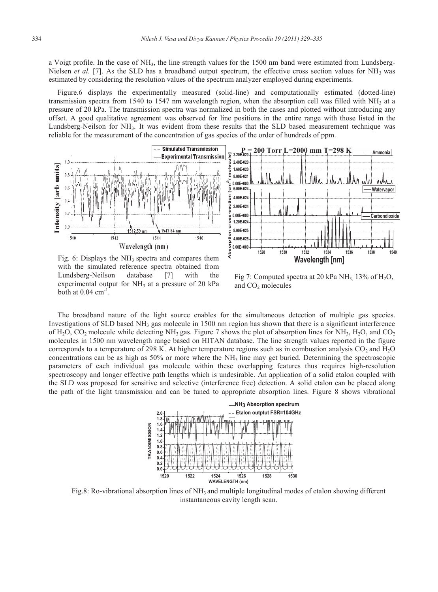a Voigt profile. In the case of NH3, the line strength values for the 1500 nm band were estimated from Lundsberg-Nielsen *et al.* [7]. As the SLD has a broadband output spectrum, the effective cross section values for NH<sub>3</sub> was estimated by considering the resolution values of the spectrum analyzer employed during experiments.

Figure.6 displays the experimentally measured (solid-line) and computationally estimated (dotted-line) transmission spectra from 1540 to 1547 nm wavelength region, when the absorption cell was filled with NH<sub>3</sub> at a pressure of 20 kPa. The transmission spectra was normalized in both the cases and plotted without introducing any offset. A good qualitative agreement was observed for line positions in the entire range with those listed in the Lundsberg-Neilson for NH<sub>3</sub>. It was evident from these results that the SLD based measurement technique was reliable for the measurement of the concentration of gas species of the order of hundreds of ppm.





Fig. 6: Displays the  $NH_3$  spectra and compares them with the simulated reference spectra obtained from Lundsberg-Neilson database [7] with the experimental output for NH<sub>3</sub> at a pressure of 20 kPa both at  $0.04 \text{ cm}^{-1}$ .

Fig 7: Computed spectra at 20 kPa  $NH<sub>3</sub>$ , 13% of  $H<sub>2</sub>O$ , and  $CO<sub>2</sub>$  molecules

The broadband nature of the light source enables for the simultaneous detection of multiple gas species. Investigations of SLD based  $NH_3$  gas molecule in 1500 nm region has shown that there is a significant interference of H<sub>2</sub>O, CO<sub>2</sub> molecule while detecting NH<sub>3</sub> gas. Figure 7 shows the plot of absorption lines for NH<sub>3</sub>, H<sub>2</sub>O, and CO<sub>2</sub> molecules in 1500 nm wavelength range based on HITAN database. The line strength values reported in the figure corresponds to a temperature of 298 K. At higher temperature regions such as in combustion analysis  $CO<sub>2</sub>$  and  $H<sub>2</sub>O$ concentrations can be as high as  $50\%$  or more where the NH<sub>3</sub> line may get buried. Determining the spectroscopic parameters of each individual gas molecule within these overlapping features thus requires high-resolution spectroscopy and longer effective path lengths which is undesirable. An application of a solid etalon coupled with the SLD was proposed for sensitive and selective (interference free) detection. A solid etalon can be placed along the path of the light transmission and can be tuned to appropriate absorption lines. Figure 8 shows vibrational



Fig.8: Ro-vibrational absorption lines of NH<sub>3</sub> and multiple longitudinal modes of etalon showing different instantaneous cavity length scan.